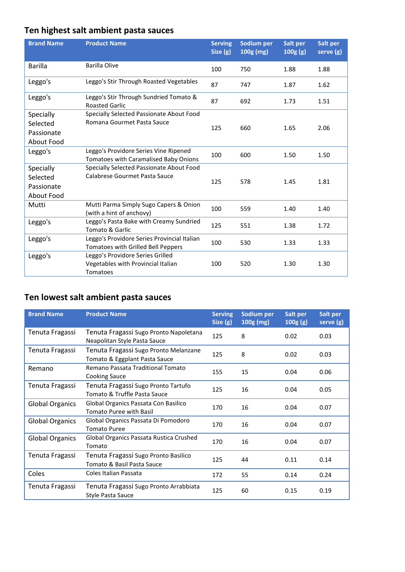# **Ten highest salt ambient pasta sauces**

| <b>Brand Name</b> | <b>Product Name</b>                                                               | <b>Serving</b><br>Size $(g)$ | Sodium per<br>100g (mg) | Salt per<br>100g(g) | Salt per<br>serve (g) |
|-------------------|-----------------------------------------------------------------------------------|------------------------------|-------------------------|---------------------|-----------------------|
| Barilla           | <b>Barilla Olive</b>                                                              | 100                          | 750                     | 1.88                | 1.88                  |
| Leggo's           | Leggo's Stir Through Roasted Vegetables                                           | 87                           | 747                     | 1.87                | 1.62                  |
| Leggo's           | Leggo's Stir Through Sundried Tomato &<br><b>Roasted Garlic</b>                   | 87                           | 692                     | 1.73                | 1.51                  |
| Specially         | Specially Selected Passionate About Food                                          |                              |                         |                     |                       |
| Selected          | Romana Gourmet Pasta Sauce                                                        | 125                          | 660                     | 1.65                | 2.06                  |
| Passionate        |                                                                                   |                              |                         |                     |                       |
| About Food        |                                                                                   |                              |                         |                     |                       |
| Leggo's           | Leggo's Providore Series Vine Ripened                                             | 100                          | 600                     | 1.50                | 1.50                  |
|                   | Tomatoes with Caramalised Baby Onions                                             |                              |                         |                     |                       |
| Specially         | Specially Selected Passionate About Food                                          |                              |                         |                     |                       |
| Selected          | Calabrese Gourmet Pasta Sauce                                                     | 125                          | 578                     | 1.45                | 1.81                  |
| Passionate        |                                                                                   |                              |                         |                     |                       |
| About Food        |                                                                                   |                              |                         |                     |                       |
| Mutti             | Mutti Parma Simply Sugo Capers & Onion<br>(with a hint of anchovy)                | 100                          | 559                     | 1.40                | 1.40                  |
| Leggo's           | Leggo's Pasta Bake with Creamy Sundried                                           | 125                          | 551                     | 1.38                | 1.72                  |
|                   | Tomato & Garlic                                                                   |                              |                         |                     |                       |
| Leggo's           | Leggo's Providore Series Provincial Italian<br>Tomatoes with Grilled Bell Peppers | 100                          | 530                     | 1.33                | 1.33                  |
| Leggo's           | Leggo's Providore Series Grilled                                                  |                              |                         |                     |                       |
|                   | Vegetables with Provincial Italian                                                | 100                          | 520                     | 1.30                | 1.30                  |
|                   | <b>Tomatoes</b>                                                                   |                              |                         |                     |                       |

## **Ten lowest salt ambient pasta sauces**

| <b>Brand Name</b>      | <b>Product Name</b>                                                    | <b>Serving</b><br>Size (g) | Sodium per<br>$100g$ (mg) | Salt per<br>100g(g) | Salt per<br>serve (g) |
|------------------------|------------------------------------------------------------------------|----------------------------|---------------------------|---------------------|-----------------------|
| Tenuta Fragassi        | Tenuta Fragassi Sugo Pronto Napoletana<br>Neapolitan Style Pasta Sauce | 125                        | 8                         | 0.02                | 0.03                  |
| Tenuta Fragassi        | Tenuta Fragassi Sugo Pronto Melanzane<br>Tomato & Eggplant Pasta Sauce | 125                        | 8                         | 0.02                | 0.03                  |
| Remano                 | Remano Passata Traditional Tomato<br><b>Cooking Sauce</b>              | 155                        | 15                        | 0.04                | 0.06                  |
| Tenuta Fragassi        | Tenuta Fragassi Sugo Pronto Tartufo<br>Tomato & Truffle Pasta Sauce    | 125                        | 16                        | 0.04                | 0.05                  |
| <b>Global Organics</b> | Global Organics Passata Con Basilico<br><b>Tomato Puree with Basil</b> | 170                        | 16                        | 0.04                | 0.07                  |
| <b>Global Organics</b> | Global Organics Passata Di Pomodoro<br><b>Tomato Puree</b>             | 170                        | 16                        | 0.04                | 0.07                  |
| <b>Global Organics</b> | Global Organics Passata Rustica Crushed<br>Tomato                      | 170                        | 16                        | 0.04                | 0.07                  |
| Tenuta Fragassi        | Tenuta Fragassi Sugo Pronto Basilico<br>Tomato & Basil Pasta Sauce     | 125                        | 44                        | 0.11                | 0.14                  |
| Coles                  | Coles Italian Passata                                                  | 172                        | 55                        | 0.14                | 0.24                  |
| Tenuta Fragassi        | Tenuta Fragassi Sugo Pronto Arrabbiata<br>Style Pasta Sauce            | 125                        | 60                        | 0.15                | 0.19                  |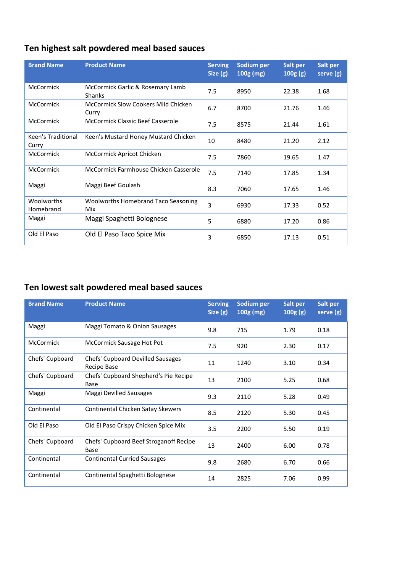### **Ten highest salt powdered meal based sauces**

| <b>Brand Name</b>           | <b>Product Name</b>                                 | <b>Serving</b><br>Size $(g)$ | Sodium per<br>$100g$ (mg) | Salt per<br>100g(g) | Salt per<br>serve (g) |
|-----------------------------|-----------------------------------------------------|------------------------------|---------------------------|---------------------|-----------------------|
| <b>McCormick</b>            | McCormick Garlic & Rosemary Lamb<br><b>Shanks</b>   | 7.5                          | 8950                      | 22.38               | 1.68                  |
| <b>McCormick</b>            | <b>McCormick Slow Cookers Mild Chicken</b><br>Curry | 6.7                          | 8700                      | 21.76               | 1.46                  |
| <b>McCormick</b>            | <b>McCormick Classic Beef Casserole</b>             | 7.5                          | 8575                      | 21.44               | 1.61                  |
| Keen's Traditional<br>Curry | Keen's Mustard Honey Mustard Chicken                | 10                           | 8480                      | 21.20               | 2.12                  |
| <b>McCormick</b>            | McCormick Apricot Chicken                           | 7.5                          | 7860                      | 19.65               | 1.47                  |
| <b>McCormick</b>            | McCormick Farmhouse Chicken Casserole               | 7.5                          | 7140                      | 17.85               | 1.34                  |
| Maggi                       | Maggi Beef Goulash                                  | 8.3                          | 7060                      | 17.65               | 1.46                  |
| Woolworths<br>Homebrand     | <b>Woolworths Homebrand Taco Seasoning</b><br>Mix   | 3                            | 6930                      | 17.33               | 0.52                  |
| Maggi                       | Maggi Spaghetti Bolognese                           | 5                            | 6880                      | 17.20               | 0.86                  |
| Old El Paso                 | Old El Paso Taco Spice Mix                          | 3                            | 6850                      | 17.13               | 0.51                  |

### **Ten lowest salt powdered meal based sauces**

| <b>Brand Name</b> | <b>Product Name</b>                              | <b>Serving</b><br>Size $(g)$ | Sodium per<br>$100g$ (mg) | Salt per<br>100g(g) | Salt per<br>serve (g) |
|-------------------|--------------------------------------------------|------------------------------|---------------------------|---------------------|-----------------------|
| Maggi             | Maggi Tomato & Onion Sausages                    | 9.8                          | 715                       | 1.79                | 0.18                  |
| <b>McCormick</b>  | McCormick Sausage Hot Pot                        | 7.5                          | 920                       | 2.30                | 0.17                  |
| Chefs' Cupboard   | Chefs' Cupboard Devilled Sausages<br>Recipe Base | 11                           | 1240                      | 3.10                | 0.34                  |
| Chefs' Cupboard   | Chefs' Cupboard Shepherd's Pie Recipe<br>Base    | 13                           | 2100                      | 5.25                | 0.68                  |
| Maggi             | Maggi Devilled Sausages                          | 9.3                          | 2110                      | 5.28                | 0.49                  |
| Continental       | Continental Chicken Satay Skewers                | 8.5                          | 2120                      | 5.30                | 0.45                  |
| Old El Paso       | Old El Paso Crispy Chicken Spice Mix             | 3.5                          | 2200                      | 5.50                | 0.19                  |
| Chefs' Cupboard   | Chefs' Cupboard Beef Stroganoff Recipe<br>Base   | 13                           | 2400                      | 6.00                | 0.78                  |
| Continental       | <b>Continental Curried Sausages</b>              | 9.8                          | 2680                      | 6.70                | 0.66                  |
| Continental       | Continental Spaghetti Bolognese                  | 14                           | 2825                      | 7.06                | 0.99                  |